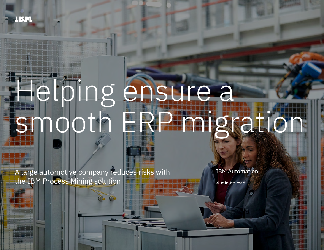# Helping ensure a smooth ERP migration

A large automotive company reduces risks with the IBM Process Mining solution

IBM Automation

4-minute read

A large automotive company reduces risks with the IBM Process Mining solution 1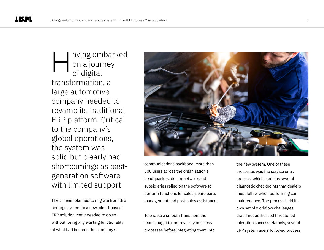aving embarked on a journey of digital transformation, a large automotive company needed to revamp its traditional ERP platform. Critical to the company's global operations, the system was solid but clearly had shortcomings as pastgeneration software with limited support. H

The IT team planned to migrate from this heritage system to a new, cloud-based ERP solution. Yet it needed to do so without losing any existing functionality of what had become the company's



communications backbone. More than 500 users across the organization's headquarters, dealer network and subsidiaries relied on the software to perform functions for sales, spare parts management and post-sales assistance.

To enable a smooth transition, the team sought to improve key business processes before integrating them into the new system. One of these processes was the service entry process, which contains several diagnostic checkpoints that dealers must follow when performing car maintenance. The process held its own set of workflow challenges that if not addressed threatened migration success. Namely, several ERP system users followed process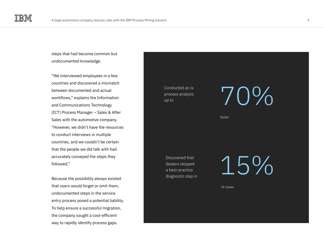steps that had become common but undocumented knowledge.

"We interviewed employees in a few countries and discovered a mismatch between documented and actual workflows," explains the Information and Communications Technology (ICT) Process Manager – Sales & After Sales with the automotive company. "However, we didn't have the resources to conduct interviews in multiple countries, and we couldn't be certain that the people we did talk with had accurately conveyed the steps they followed."

Because the possibility always existed that users would forget or omit them, undocumented steps in the service entry process posed a potential liability. To help ensure a successful migration, the company sought a cost-efficient way to rapidly identify process gaps.

Conducted as-is process analysis

### Conducted as-is<br>process analysis<br>up to<br>the conducted as-is

faster

Discovered that dealers skipped a best-practice diagnostic step in 15%

of cases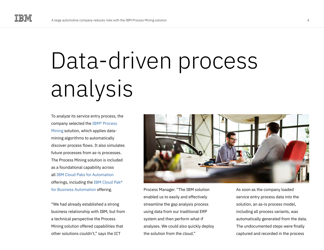## Data-driven process analysis

To analyze its service entry process, the company selected the [IBM® Process](https://www.ibm.com/cloud/cloud-pak-for-business-automation/process-mining)  [Mining](https://www.ibm.com/cloud/cloud-pak-for-business-automation/process-mining) solution, which applies datamining algorithms to automatically discover process flows. It also simulates future processes from as-is processes. The Process Mining solution is included as a foundational capability across all [IBM Cloud Paks for Automation](https://www.ibm.com/cloud/automation) offerings, including the [IBM Cloud Pak®](https://www.ibm.com/cloud/cloud-pak-for-business-automation/)  [for Business Automation](https://www.ibm.com/cloud/cloud-pak-for-business-automation/) offering.

"We had already established a strong business relationship with IBM, but from a technical perspective the Process Mining solution offered capabilities that other solutions couldn't," says the ICT



Process Manager. "The IBM solution enabled us to easily and effectively streamline the gap analysis process using data from our traditional ERP system and then perform what-if analyses. We could also quickly deploy the solution from the cloud."

As soon as the company loaded service entry process data into the solution, an as-is process model, including all process variants, was automatically generated from the data. The undocumented steps were finally captured and recorded in the process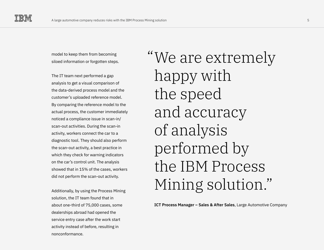model to keep them from becoming siloed information or forgotten steps.

The IT team next performed a gap analysis to get a visual comparison of the data-derived process model and the customer's uploaded reference model. By comparing the reference model to the actual process, the customer immediately noticed a compliance issue in scan-in/ scan-out activities. During the scan-in activity, workers connect the car to a diagnostic tool. They should also perform the scan-out activity, a best practice in which they check for warning indicators on the car's control unit. The analysis showed that in 15% of the cases, workers did not perform the scan-out activity.

Additionally, by using the Process Mining solution, the IT team found that in about one-third of 75,000 cases, some dealerships abroad had opened the service entry case after the work start activity instead of before, resulting in nonconformance.

We are extremely " happy with the speed and accuracy of analysis performed by the IBM Process Mining solution."

**ICT Process Manager – Sales & After Sales**, Large Automotive Company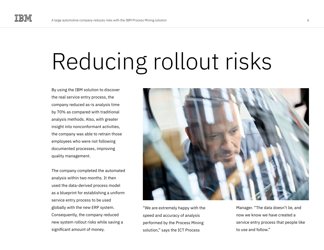### Reducing rollout risks

By using the IBM solution to discover the real service entry process, the company reduced as-is analysis time by 70% as compared with traditional analysis methods. Also, with greater insight into nonconformant activities, the company was able to retrain those employees who were not following documented processes, improving quality management.

The company completed the automated analysis within two months. It then used the data-derived process model as a blueprint for establishing a uniform service entry process to be used globally with the new ERP system. Consequently, the company reduced new system rollout risks while saving a significant amount of money.



"We are extremely happy with the speed and accuracy of analysis performed by the Process Mining solution," says the ICT Process

Manager. "The data doesn't lie, and now we know we have created a service entry process that people like to use and follow."